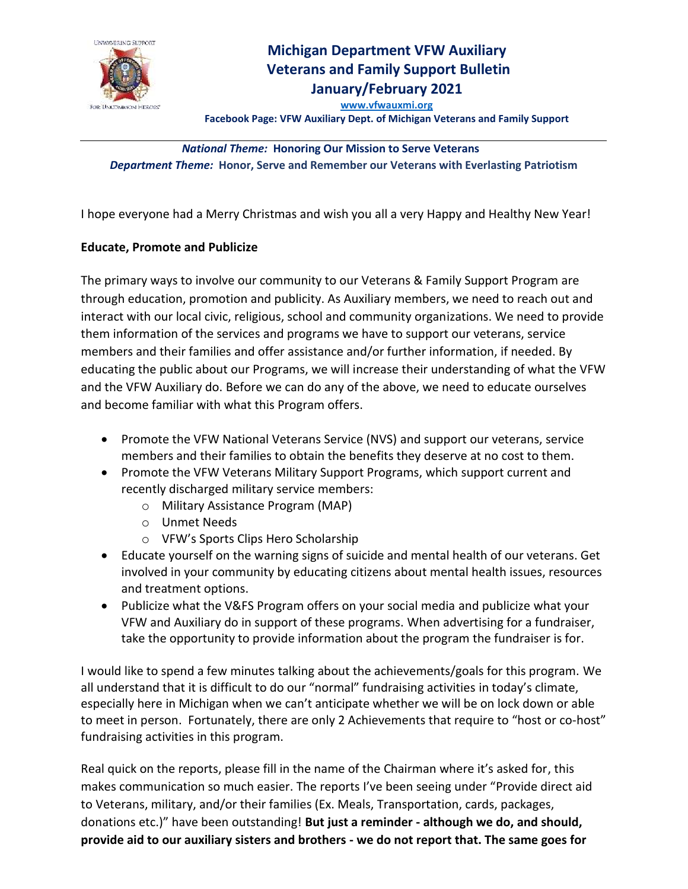

## **Michigan Department VFW Auxiliary Veterans and Family Support Bulletin**

**January/February 2021**

**[www.vfwauxmi.org](http://www.vfwauxmi.org/) Facebook Page: VFW Auxiliary Dept. of Michigan Veterans and Family Support**

## *National Theme:* **Honoring Our Mission to Serve Veterans** *Department Theme:* **Honor, Serve and Remember our Veterans with Everlasting Patriotism**

I hope everyone had a Merry Christmas and wish you all a very Happy and Healthy New Year!

## **Educate, Promote and Publicize**

The primary ways to involve our community to our Veterans & Family Support Program are through education, promotion and publicity. As Auxiliary members, we need to reach out and interact with our local civic, religious, school and community organizations. We need to provide them information of the services and programs we have to support our veterans, service members and their families and offer assistance and/or further information, if needed. By educating the public about our Programs, we will increase their understanding of what the VFW and the VFW Auxiliary do. Before we can do any of the above, we need to educate ourselves and become familiar with what this Program offers.

- Promote the VFW National Veterans Service (NVS) and support our veterans, service members and their families to obtain the benefits they deserve at no cost to them.
- Promote the VFW Veterans Military Support Programs, which support current and recently discharged military service members:
	- o Military Assistance Program (MAP)
	- o Unmet Needs
	- o VFW's Sports Clips Hero Scholarship
- Educate yourself on the warning signs of suicide and mental health of our veterans. Get involved in your community by educating citizens about mental health issues, resources and treatment options.
- Publicize what the V&FS Program offers on your social media and publicize what your VFW and Auxiliary do in support of these programs. When advertising for a fundraiser, take the opportunity to provide information about the program the fundraiser is for.

I would like to spend a few minutes talking about the achievements/goals for this program. We all understand that it is difficult to do our "normal" fundraising activities in today's climate, especially here in Michigan when we can't anticipate whether we will be on lock down or able to meet in person. Fortunately, there are only 2 Achievements that require to "host or co-host" fundraising activities in this program.

Real quick on the reports, please fill in the name of the Chairman where it's asked for, this makes communication so much easier. The reports I've been seeing under "Provide direct aid to Veterans, military, and/or their families (Ex. Meals, Transportation, cards, packages, donations etc.)" have been outstanding! **But just a reminder - although we do, and should, provide aid to our auxiliary sisters and brothers - we do not report that. The same goes for**